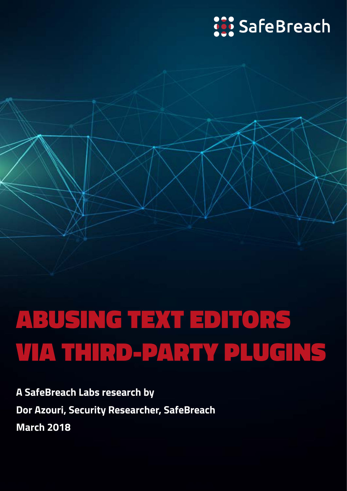## **SafeBreach**

# ABUSING TEXT EDITORS VIA THIRD-PARTY PLUGINS

**A SafeBreach Labs research by Dor Azouri, Security Researcher, SafeBreach March 2018**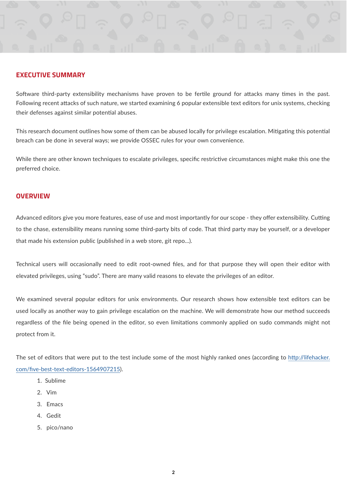#### **EXECUTIVE SUMMARY**

Sofware third-party extensibility mechanisms have proven to be fertle ground for atacks many tmes in the past. Following recent attacks of such nature, we started examining 6 popular extensible text editors for unix systems, checking their defenses against similar potential abuses.

This research document outlines how some of them can be abused locally for privilege escalation. Mitigating this potential breach can be done in several ways; we provide OSSEC rules for your own convenience.

While there are other known techniques to escalate privileges, specific restrictive circumstances might make this one the preferred choice.

#### **OVERVIEW**

Advanced editors give you more features, ease of use and most importantly for our scope - they offer extensibility. Cutting to the chase, extensibility means running some third-party bits of code. That third party may be yourself, or a developer that made his extension public (published in a web store, git repo...).

Technical users will occasionally need to edit root-owned fles, and for that purpose they will open their editor with elevated privileges, using "sudo". There are many valid reasons to elevate the privileges of an editor.

We examined several popular editors for unix environments. Our research shows how extensible text editors can be used locally as another way to gain privilege escalation on the machine. We will demonstrate how our method succeeds regardless of the fle being opened in the editor, so even limitatons commonly applied on sudo commands might not protect from it.

The set of editors that were put to the test include some of the most highly ranked ones (according to [htp://lifehacker.](http://lifehacker.com/five-best-text-editors-1564907215) [com/fve-best-text-editors-1564907215](http://lifehacker.com/five-best-text-editors-1564907215)).

- 1. Sublime
- 2. Vim
- 3. Emacs
- 4. Gedit
- 5. pico/nano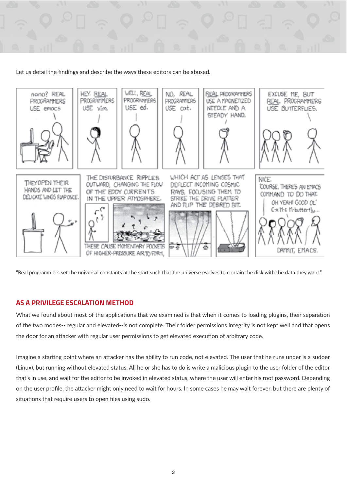

Let us detail the fndings and describe the ways these editors can be abused.



"Real programmers set the universal constants at the start such that the universe evolves to contain the disk with the data they want."

#### **AS A PRIVILEGE ESCALATION METHOD**

What we found about most of the applications that we examined is that when it comes to loading plugins, their separation of the two modes-- regular and elevated--is not complete. Their folder permissions integrity is not kept well and that opens the door for an atacker with regular user permissions to get elevated executon of arbitrary code.

Imagine a starting point where an attacker has the ability to run code, not elevated. The user that he runs under is a sudoer (Linux), but running without elevated status. All he or she has to do is write a malicious plugin to the user folder of the editor that's in use, and wait for the editor to be invoked in elevated status, where the user will enter his root password. Depending on the user profle, the atacker might only need to wait for hours. In some cases he may wait forever, but there are plenty of situations that require users to open files using sudo.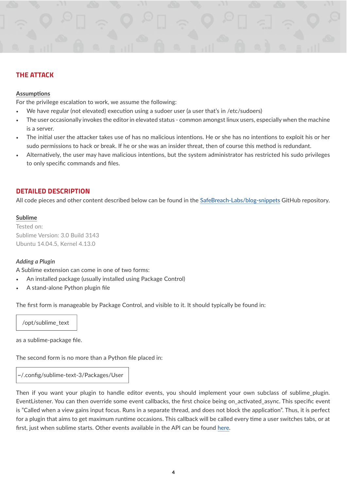

#### **THE ATTACK**

#### **Assumptions**

For the privilege escalation to work, we assume the following:

- We have regular (not elevated) execution using a sudoer user (a user that's in /etc/sudoers)
- The user occasionally invokes the editor in elevated status common amongst linux users, especially when the machine is a server.
- The initial user the attacker takes use of has no malicious intentions. He or she has no intentions to exploit his or her sudo permissions to hack or break. If he or she was an insider threat, then of course this method is redundant.
- Alternatively, the user may have malicious intentions, but the system administrator has restricted his sudo privileges to only specifc commands and fles.

## **DETAILED DESCRIPTION**

All code pieces and other content described below can be found in the [SafeBreach-Labs/blog-snippets](https://github.com/SafeBreach-Labs/blog-snippets) GitHub repository.

#### **Sublime**

Tested on: Sublime Version: 3.0 Build 3143 Ubuntu 14.04.5, Kernel 4.13.0

#### *Adding a Plugin*

A Sublime extension can come in one of two forms:

- An installed package (usually installed using Package Control)
- A stand-alone Python plugin fle

The frst form is manageable by Package Control, and visible to it. It should typically be found in:

/opt/sublime\_text

as a sublime-package fle.

The second form is no more than a Python fle placed in:

~/.confg/sublime-text-3/Packages/User

Then if you want your plugin to handle editor events, you should implement your own subclass of sublime\_plugin. EventListener. You can then override some event callbacks, the first choice being on\_activated\_async. This specific event is "Called when a view gains input focus. Runs in a separate thread, and does not block the applicaton". Thus, it is perfect for a plugin that aims to get maximum runtme occasions. This callback will be called every tme a user switches tabs, or at frst, just when sublime starts. Other events available in the API can be found [here](https://www.sublimetext.com/docs/3/api_reference.html#sublime_plugin.EventListener).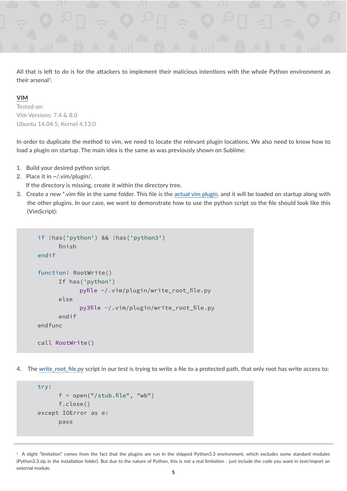

All that is left to do is for the attackers to implement their malicious intentions with the whole Python environment as their arsenal<sup>1</sup>.

#### **VIM**

Tested on: Vim Versions: 7.4 & 8.0 Ubuntu 14.04.5, Kernel 4.13.0

In order to duplicate the method to vim, we need to locate the relevant plugin locations. We also need to know how to load a plugin on startup. The main idea is the same as was previously shown on Sublime:

- 1. Build your desired python script.
- 2. Place it in ~/.vim/plugin/.

If the directory is missing, create it within the directory tree.

3. Create a new \*.vim fle in the same folder. This fle is the [actual vim plugin](https://github.com/SafeBreach-Labs/blog-snippets/blob/master/editors_plugins_fifth_column/write_root.vim), and it will be loaded on startup along with the other plugins. In our case, we want to demonstrate how to use the python script so the fle should look like this (VimScript):

```
if !has('python') && !has('python3')
       finish
endif
function! RootWrite()
       If has('python')
              pyfile ~/.vim/plugin/write_root_file.py
       else
              py3file ~/.vim/plugin/write_root_file.py
       endif
endfunc
call RootWrite()
```
4. The [write\\_root\\_fle.py](https://github.com/SafeBreach-Labs/blog-snippets/blob/master/editors_plugins_fifth_column/write_root.py) script in our test is trying to write a fle to a protected path, that only root has write access to:

```
try:
      f = open("/stab.file", "wb") f.close()
except IOError as e:
       pass
```
<sup>&</sup>lt;sup>1</sup> A slight "limitation" comes from the fact that the plugins are run in the shipped Python3.3 environment, which excludes some standard modules (Python3.3.zip in the installation folder). But due to the nature of Python, this is not a real limitation - just include the code you want in text/import an external module.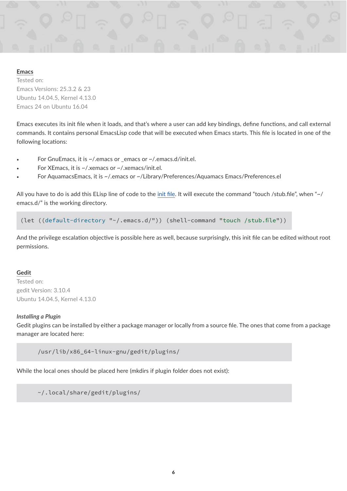#### **Emacs**

Tested on: Emacs Versions: 25.3.2 & 23 Ubuntu 14.04.5, Kernel 4.13.0 Emacs 24 on Ubuntu 16.04

Emacs executes its init file when it loads, and that's where a user can add key bindings, define functions, and call external commands. It contains personal EmacsLisp code that will be executed when Emacs starts. This fle is located in one of the following locations:

- For GnuEmacs, it is ~/.emacs or \_emacs or ~/.emacs.d/init.el.
- For XEmacs, it is ~/.xemacs or ~/.xemacs/init.el.
- For AquamacsEmacs, it is ~/.emacs or ~/Library/Preferences/Aquamacs Emacs/Preferences.el

All you have to do is add this ELisp line of code to the [init fle](https://github.com/SafeBreach-Labs/blog-snippets/blob/master/editors_plugins_fifth_column/init.el). It will execute the command "touch /stub.fle", when "~/ emacs.d/" is the working directory.

(let ((default-directory "~/.emacs.d/")) (shell-command "touch /stub.file"))

And the privilege escalation objective is possible here as well, because surprisingly, this init file can be edited without root permissions.

#### **Gedit**

Tested on: gedit Version: 3.10.4 Ubuntu 14.04.5, Kernel 4.13.0

#### *Installing a Plugin*

Gedit plugins can be installed by either a package manager or locally from a source fle. The ones that come from a package manager are located here:

/usr/lib/x86\_64-linux-gnu/gedit/plugins/

While the local ones should be placed here (mkdirs if plugin folder does not exist):

~/.local/share/gedit/plugins/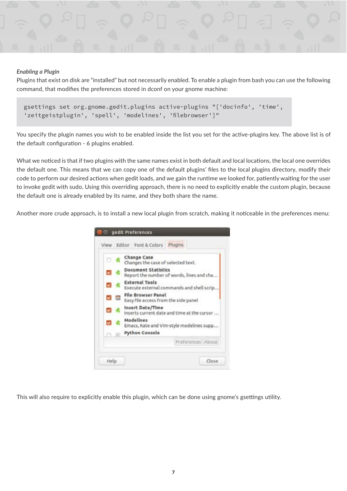

#### *Enabling a Plugin*

Plugins that exist on disk are "installed" but not necessarily enabled. To enable a plugin from bash you can use the following command, that modifes the preferences stored in dconf on your gnome machine:

```
 gsettings set org.gnome.gedit.plugins active-plugins "['docinfo', 'time', 
 'zeitgeistplugin', 'spell', 'modelines', 'filebrowser']"
```
You specify the plugin names you wish to be enabled inside the list you set for the active-plugins key. The above list is of the default configuration - 6 plugins enabled.

What we noticed is that if two plugins with the same names exist in both default and local locations, the local one overrides the default one. This means that we can copy one of the default plugins' fles to the local plugins directory, modify their code to perform our desired actions when gedit loads, and we gain the runtime we looked for, patiently waiting for the user to invoke gedit with sudo. Using this overriding approach, there is no need to explicitly enable the custom plugin, because the default one is already enabled by its name, and they both share the name.

Another more crude approach, is to install a new local plugin from scratch, making it noticeable in the preferences menu:



This will also require to explicitly enable this plugin, which can be done using gnome's gsettings utility.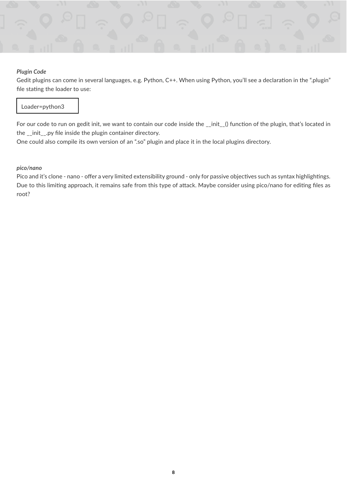

#### *Plugin Code*

Gedit plugins can come in several languages, e.g. Python, C++. When using Python, you'll see a declaration in the ".plugin" file stating the loader to use:

#### Loader=python3

For our code to run on gedit init, we want to contain our code inside the \_\_init\_() function of the plugin, that's located in the \_\_init\_\_.py fle inside the plugin container directory.

One could also compile its own version of an ".so" plugin and place it in the local plugins directory.

#### *pico/nano*

Pico and it's clone - nano - offer a very limited extensibility ground - only for passive objectives such as syntax highlightings. Due to this limiting approach, it remains safe from this type of attack. Maybe consider using pico/nano for editing files as root?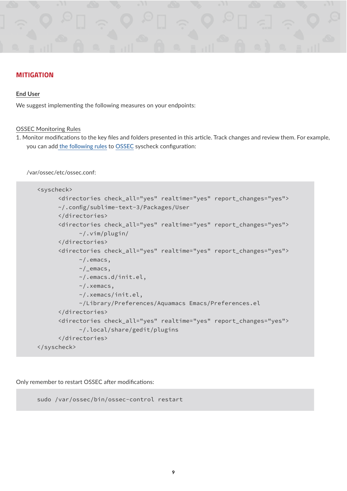## **MITIGATION**

#### **End User**

We suggest implementing the following measures on your endpoints:

#### OSSEC Monitoring Rules

1. Monitor modifications to the key files and folders presented in this article. Track changes and review them. For example, you can add [the following rules](https://github.com/SafeBreach-Labs/blog-snippets/blob/master/editors_plugins_fifth_column/ossec.conf) to OSSEC syscheck configuration:

/var/ossec/etc/ossec.conf:

```
<syscheck>
       <directories check_all="yes" realtime="yes" report_changes="yes">
       ~/.config/sublime-text-3/Packages/User
       </directories>
       <directories check_all="yes" realtime="yes" report_changes="yes">
             ~/.vim/plugin/
       </directories>
       <directories check_all="yes" realtime="yes" report_changes="yes">
             ~/.emacs,
             ~/_emacs,
             ~/.emacs.d/init.el,
             ~/.xemacs,
             ~/.xemacs/init.el,
             ~/Library/Preferences/Aquamacs Emacs/Preferences.el
       </directories>
       <directories check_all="yes" realtime="yes" report_changes="yes">
             ~/.local/share/gedit/plugins
       </directories>
</syscheck>
```
Only remember to restart OSSEC after modifications:

```
sudo /var/ossec/bin/ossec-control restart
```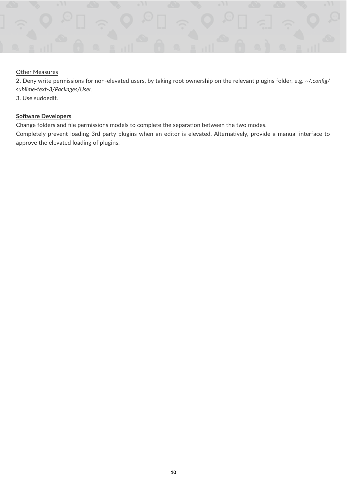

#### Other Measures

2. Deny write permissions for non-elevated users, by taking root ownership on the relevant plugins folder, e.g. *~/.confg/ sublime-text-3/Packages/User*.

3. Use sudoedit.

#### **Sofware Developers**

Change folders and file permissions models to complete the separation between the two modes.

Completely prevent loading 3rd party plugins when an editor is elevated. Alternatively, provide a manual interface to approve the elevated loading of plugins.